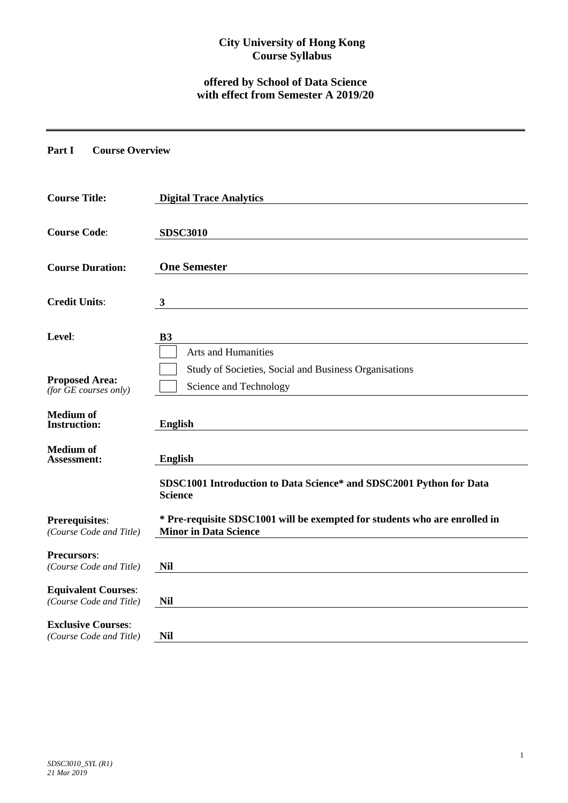# **City University of Hong Kong Course Syllabus**

# **offered by School of Data Science with effect from Semester A 2019/20**

## **Part I Course Overview**

| <b>Course Title:</b>                                  | <b>Digital Trace Analytics</b>                                                                             |
|-------------------------------------------------------|------------------------------------------------------------------------------------------------------------|
| <b>Course Code:</b>                                   | <b>SDSC3010</b>                                                                                            |
| <b>Course Duration:</b>                               | <b>One Semester</b>                                                                                        |
| <b>Credit Units:</b>                                  | $\mathbf{3}$                                                                                               |
| Level:                                                | <b>B3</b>                                                                                                  |
|                                                       | Arts and Humanities                                                                                        |
| <b>Proposed Area:</b><br>(for $GE$ courses only)      | Study of Societies, Social and Business Organisations<br>Science and Technology                            |
| <b>Medium</b> of<br><b>Instruction:</b>               | <b>English</b>                                                                                             |
| <b>Medium</b> of<br><b>Assessment:</b>                | <b>English</b>                                                                                             |
|                                                       | SDSC1001 Introduction to Data Science* and SDSC2001 Python for Data<br><b>Science</b>                      |
| Prerequisites:<br>(Course Code and Title)             | * Pre-requisite SDSC1001 will be exempted for students who are enrolled in<br><b>Minor in Data Science</b> |
| <b>Precursors:</b><br>(Course Code and Title)         | <b>Nil</b>                                                                                                 |
| <b>Equivalent Courses:</b><br>(Course Code and Title) | <b>Nil</b>                                                                                                 |
| <b>Exclusive Courses:</b><br>(Course Code and Title)  | <b>Nil</b>                                                                                                 |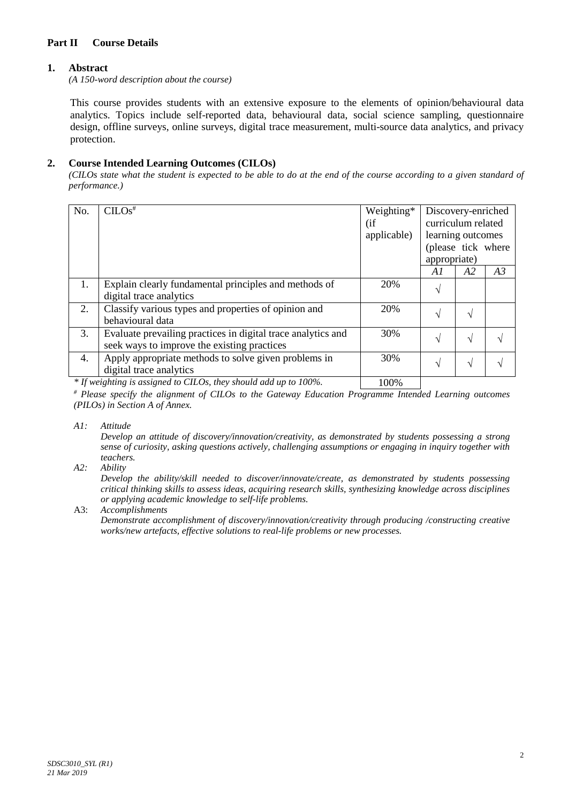# **Part II Course Details**

# **1. Abstract**

*(A 150-word description about the course)*

This course provides students with an extensive exposure to the elements of opinion/behavioural data analytics. Topics include self-reported data, behavioural data, social science sampling, questionnaire design, offline surveys, online surveys, digital trace measurement, multi-source data analytics, and privacy protection.

# **2. Course Intended Learning Outcomes (CILOs)**

*(CILOs state what the student is expected to be able to do at the end of the course according to a given standard of performance.)*

| No. | $CLOS$ <sup>#</sup>                                          | Weighting*  | Discovery-enriched |    |    |
|-----|--------------------------------------------------------------|-------------|--------------------|----|----|
|     |                                                              | (i f)       | curriculum related |    |    |
|     |                                                              | applicable) | learning outcomes  |    |    |
|     |                                                              |             | (please tick where |    |    |
|     |                                                              |             | appropriate)       |    |    |
|     |                                                              |             | A1                 | A2 | A3 |
| 1.  | Explain clearly fundamental principles and methods of        | 20%         | N                  |    |    |
|     | digital trace analytics                                      |             |                    |    |    |
| 2.  | Classify various types and properties of opinion and         | 20%         | N                  | V  |    |
|     | behavioural data                                             |             |                    |    |    |
| 3.  | Evaluate prevailing practices in digital trace analytics and | 30%         | N                  | N  |    |
|     | seek ways to improve the existing practices                  |             |                    |    |    |
| 4.  | Apply appropriate methods to solve given problems in         | 30%         | اد                 | N  |    |
|     | digital trace analytics                                      |             |                    |    |    |
|     |                                                              | 10001       |                    |    |    |

*\* If weighting is assigned to CILOs, they should add up to 100%.* | 100%

*# Please specify the alignment of CILOs to the Gateway Education Programme Intended Learning outcomes (PILOs) in Section A of Annex.* 

*A1: Attitude* 

*Develop an attitude of discovery/innovation/creativity, as demonstrated by students possessing a strong sense of curiosity, asking questions actively, challenging assumptions or engaging in inquiry together with teachers.*

*A2: Ability*

*Develop the ability/skill needed to discover/innovate/create, as demonstrated by students possessing critical thinking skills to assess ideas, acquiring research skills, synthesizing knowledge across disciplines or applying academic knowledge to self-life problems.*

A3: *Accomplishments*

*Demonstrate accomplishment of discovery/innovation/creativity through producing /constructing creative works/new artefacts, effective solutions to real-life problems or new processes.*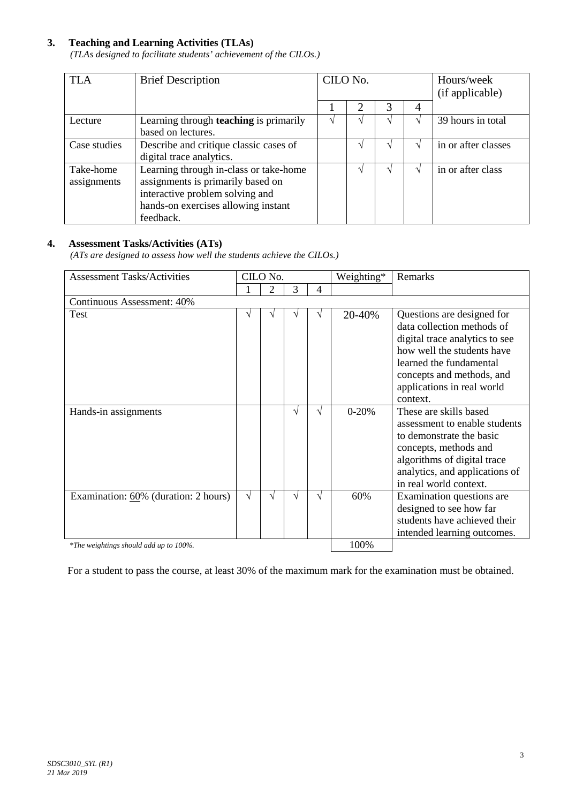# **3. Teaching and Learning Activities (TLAs)**

*(TLAs designed to facilitate students' achievement of the CILOs.)*

| <b>TLA</b>               | <b>Brief Description</b>                                                                                                                                           | CILO No. |  |  | Hours/week<br>(if applicable) |                     |
|--------------------------|--------------------------------------------------------------------------------------------------------------------------------------------------------------------|----------|--|--|-------------------------------|---------------------|
|                          |                                                                                                                                                                    |          |  |  | 4                             |                     |
| Lecture                  | Learning through <b>teaching</b> is primarily<br>based on lectures.                                                                                                |          |  |  |                               | 39 hours in total   |
| Case studies             | Describe and critique classic cases of<br>digital trace analytics.                                                                                                 |          |  |  |                               | in or after classes |
| Take-home<br>assignments | Learning through in-class or take-home<br>assignments is primarily based on<br>interactive problem solving and<br>hands-on exercises allowing instant<br>feedback. |          |  |  |                               | in or after class   |

## **4. Assessment Tasks/Activities (ATs)**

*(ATs are designed to assess how well the students achieve the CILOs.)*

| <b>Assessment Tasks/Activities</b>     |      | CILO No. |    |   | Weighting* | Remarks                                                                                                                                                                                                                    |  |  |  |  |
|----------------------------------------|------|----------|----|---|------------|----------------------------------------------------------------------------------------------------------------------------------------------------------------------------------------------------------------------------|--|--|--|--|
|                                        |      | 2        | 3  | 4 |            |                                                                                                                                                                                                                            |  |  |  |  |
| Continuous Assessment: 40%             |      |          |    |   |            |                                                                                                                                                                                                                            |  |  |  |  |
| <b>Test</b>                            | V    |          |    |   | 20-40%     | Questions are designed for<br>data collection methods of<br>digital trace analytics to see<br>how well the students have<br>learned the fundamental<br>concepts and methods, and<br>applications in real world<br>context. |  |  |  |  |
| Hands-in assignments                   |      |          |    |   | $0 - 20%$  | These are skills based<br>assessment to enable students<br>to demonstrate the basic<br>concepts, methods and<br>algorithms of digital trace<br>analytics, and applications of<br>in real world context.                    |  |  |  |  |
| Examination: 60% (duration: 2 hours)   | V    | V        | ٦Ι | V | 60%        | Examination questions are<br>designed to see how far<br>students have achieved their<br>intended learning outcomes.                                                                                                        |  |  |  |  |
| *The weightings should add up to 100%. | 100% |          |    |   |            |                                                                                                                                                                                                                            |  |  |  |  |

For a student to pass the course, at least 30% of the maximum mark for the examination must be obtained.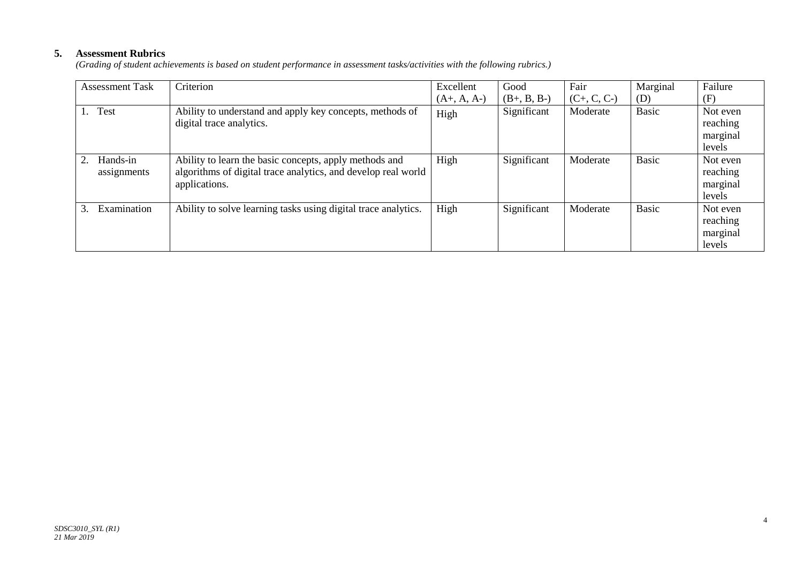# **5. Assessment Rubrics**

*(Grading of student achievements is based on student performance in assessment tasks/activities with the following rubrics.)*

| <b>Assessment Task</b>  | Criterion                                                                                                                                | Excellent     | Good          | Fair          | Marginal     | Failure                                    |
|-------------------------|------------------------------------------------------------------------------------------------------------------------------------------|---------------|---------------|---------------|--------------|--------------------------------------------|
|                         |                                                                                                                                          | $(A+, A, A-)$ | $(B+, B, B-)$ | $(C+, C, C-)$ | (D)          | (F)                                        |
| <b>Test</b><br>1.       | Ability to understand and apply key concepts, methods of<br>digital trace analytics.                                                     | High          | Significant   | Moderate      | <b>Basic</b> | Not even<br>reaching<br>marginal<br>levels |
| Hands-in<br>assignments | Ability to learn the basic concepts, apply methods and<br>algorithms of digital trace analytics, and develop real world<br>applications. | High          | Significant   | Moderate      | <b>Basic</b> | Not even<br>reaching<br>marginal<br>levels |
| Examination<br>3.       | Ability to solve learning tasks using digital trace analytics.                                                                           | High          | Significant   | Moderate      | <b>Basic</b> | Not even<br>reaching<br>marginal<br>levels |